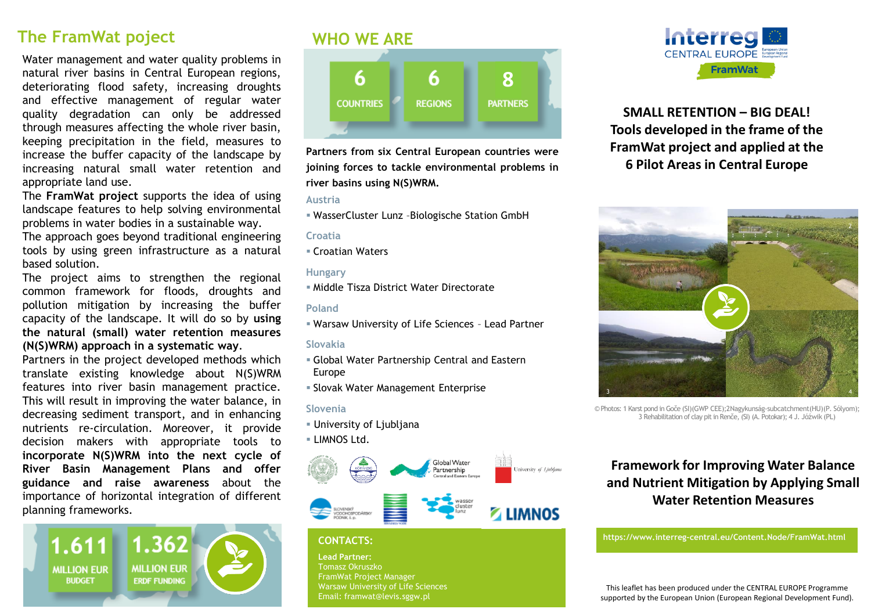## **The FramWat poject**

Water management and water quality problems in natural river basins in Central European regions, deteriorating flood safety, increasing droughts and effective management of regular water quality degradation can only be addressed through measures affecting the whole river basin, keeping precipitation in the field, measures to increase the buffer capacity of the landscape by increasing natural small water retention and appropriate land use.

The **FramWat project** supports the idea of using landscape features to help solving environmental problems in water bodies in a sustainable way.

The approach goes beyond traditional engineering tools by using green infrastructure as a natural based solution.

The project aims to strengthen the regional common framework for floods, droughts and pollution mitigation by increasing the buffer capacity of the landscape. It will do so by **using the natural (small) water retention measures (N(S)WRM) approach in a systematic way**.

Partners in the project developed methods which translate existing knowledge about N(S)WRM features into river basin management practice. This will result in improving the water balance, in decreasing sediment transport, and in enhancing nutrients re-circulation. Moreover, it provide decision makers with appropriate tools to **incorporate N(S)WRM into the next cycle of River Basin Management Plans and offer guidance and raise awareness** about the importance of horizontal integration of different planning frameworks.



# **WHO WE ARE**



**Partners from six Central European countries were joining forces to tackle environmental problems in river basins using N(S)WRM.**

#### **Austria**

WasserCluster Lunz –Biologische Station GmbH

#### **Croatia**

Croatian Waters

### **Hungary**

Middle Tisza District Water Directorate

### **Poland**

Warsaw University of Life Sciences – Lead Partner

### **Slovakia**

- Global Water Partnership Central and Eastern Europe
- Slovak Water Management Enterprise

## **Slovenia**

- University of Ljubljana
- LIMNOS Ltd.



## **CONTACTS:**

**Lead Partner:**  Tomasz Okruszko FramWat Project Manager Warsaw University of Life Sciences Email: framwat@levis.sggw.pl



## **SMALL RETENTION – BIG DEAL! Tools developed in the frame of the FramWat project and applied at the 6 Pilot Areas in Central Europe**



© Photos: 1 Karst pond in Goče (SI)(GWP CEE);2Nagykunság-subcatchment(HU)(P. Sólyom); 3 Rehabilitation of clay pit in Renče, (SI) (A. Potokar); 4 J. Jóźwik (PL)

## **Framework for Improving Water Balance and Nutrient Mitigation by Applying Small Water Retention Measures**

**https://www.interreg-central.eu/Content.Node/FramWat.html**

This leaflet has been produced under the CENTRAL EUROPE Programme supported by the European Union (European Regional Development Fund).